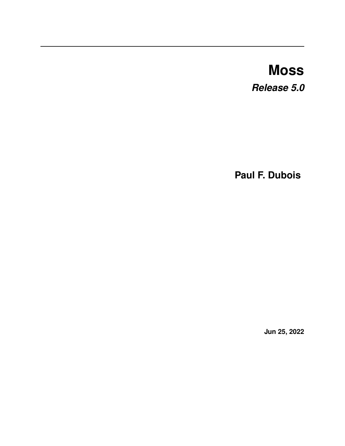# **Moss** *Release 5.0*

**Paul F. Dubois**

**Jun 25, 2022**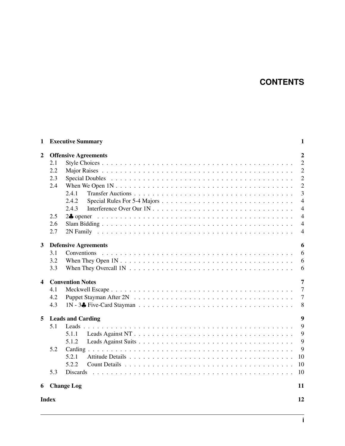# **CONTENTS**

| 1              |                             | <b>Executive Summary</b>                                                                                    | 1              |  |
|----------------|-----------------------------|-------------------------------------------------------------------------------------------------------------|----------------|--|
| $\overline{2}$ | <b>Offensive Agreements</b> |                                                                                                             |                |  |
|                | 2.1                         |                                                                                                             | $\overline{2}$ |  |
|                | 2.2                         |                                                                                                             | $\overline{2}$ |  |
|                | 2.3                         |                                                                                                             | $\overline{2}$ |  |
|                | 2.4                         |                                                                                                             | $\overline{2}$ |  |
|                |                             | 2.4.1                                                                                                       | $\overline{3}$ |  |
|                |                             | 2.4.2                                                                                                       | $\overline{4}$ |  |
|                |                             | 2.4.3                                                                                                       | $\overline{4}$ |  |
|                | 2.5                         |                                                                                                             | $\overline{4}$ |  |
|                | 2.6                         |                                                                                                             | $\overline{4}$ |  |
|                | 2.7                         |                                                                                                             | $\overline{4}$ |  |
|                |                             |                                                                                                             |                |  |
| $\mathbf{3}$   |                             | <b>Defensive Agreements</b>                                                                                 | 6              |  |
|                | 3.1                         |                                                                                                             | 6              |  |
|                | 3.2                         |                                                                                                             | 6              |  |
|                | 3.3                         | When They Overcall $1N \ldots \ldots \ldots \ldots \ldots \ldots \ldots \ldots \ldots \ldots \ldots \ldots$ | 6              |  |
| 4              |                             | <b>Convention Notes</b>                                                                                     | 7              |  |
|                | 4.1                         |                                                                                                             | $\overline{7}$ |  |
|                | 4.2                         |                                                                                                             | $\overline{7}$ |  |
|                | 4.3                         |                                                                                                             | 8              |  |
|                |                             |                                                                                                             |                |  |
| 5              |                             | <b>Leads and Carding</b>                                                                                    | 9              |  |
|                | 5.1                         |                                                                                                             | $\overline{Q}$ |  |
|                |                             | 5.1.1                                                                                                       | 9              |  |
|                |                             | 5.1.2                                                                                                       | 9              |  |
|                | 5.2                         |                                                                                                             | 9              |  |
|                |                             | 5.2.1                                                                                                       | 10             |  |
|                |                             | 5.2.2                                                                                                       | 10             |  |
|                | 5.3                         |                                                                                                             | 10             |  |
|                |                             | 6 Change Log                                                                                                | 11             |  |
| <b>Index</b>   |                             |                                                                                                             | 12             |  |
|                |                             |                                                                                                             |                |  |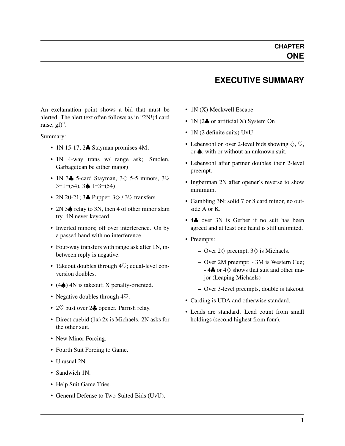#### **EXECUTIVE SUMMARY**

<span id="page-2-0"></span>An exclamation point shows a bid that must be alerted. The alert text often follows as in "2N!(4 card raise, gf)".

Summary:

- 1N 15-17; 2. Stayman promises 4M;
- 1N 4-way trans w/ range ask; Smolen, Garbage(can be either major)
- 1N 3 $\clubsuit$  5-card Stayman, 3 $\diamondsuit$  5-5 minors, 3 $\heartsuit$  $3=1=(54)$ ,  $3\spadesuit 1=3=(54)$
- 2N 20-21; 3♣ Puppet;  $3\diamondsuit / 3\heartsuit$  transfers
- 2N 3♠ relay to 3N, then 4 of other minor slam try. 4N never keycard.
- Inverted minors; off over interference. On by a passed hand with no interference.
- Four-way transfers with range ask after 1N, inbetween reply is negative.
- Takeout doubles through  $4\heartsuit$ ; equal-level conversion doubles.
- (4♠) 4N is takeout; X penalty-oriented.
- Negative doubles through  $4\heartsuit$ .
- 2♡ bust over 2♣ opener. Parrish relay.
- Direct cuebid (1x) 2x is Michaels. 2N asks for the other suit.
- New Minor Forcing.
- Fourth Suit Forcing to Game.
- Unusual 2N.
- Sandwich 1N.
- Help Suit Game Tries.
- General Defense to Two-Suited Bids (UvU).
- 1N (X) Meckwell Escape
- 1N (2 $\clubsuit$  or artificial X) System On
- 1N (2 definite suits) UvU
- Lebensohl on over 2-level bids showing  $\diamondsuit$ ,  $\heartsuit$ , or **♦**, with or without an unknown suit.
- Lebensohl after partner doubles their 2-level preempt.
- Ingberman 2N after opener's reverse to show minimum.
- Gambling 3N: solid 7 or 8 card minor, no outside A or K.
- 44 over 3N is Gerber if no suit has been agreed and at least one hand is still unlimited.
- Preempts:
	- Over  $2\diamondsuit$  preempt,  $3\diamondsuit$  is Michaels.
	- Over 2M preempt: 3M is Western Cue; - 4 $\clubsuit$  or 4 $\diamondsuit$  shows that suit and other major (Leaping Michaels)
	- Over 3-level preempts, double is takeout
- Carding is UDA and otherwise standard.
- Leads are standard; Lead count from small holdings (second highest from four).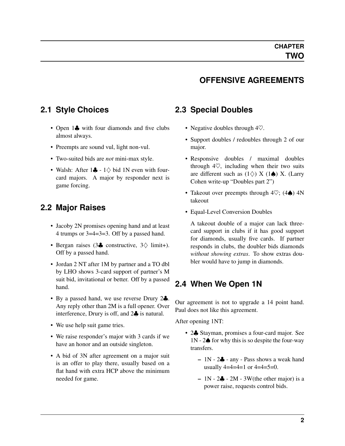#### **OFFENSIVE AGREEMENTS**

#### <span id="page-3-0"></span>**2.1 Style Choices**

- Open 1. with four diamonds and five clubs almost always.
- Preempts are sound vul, light non-vul.
- Two-suited bids are *not* mini-max style.
- Walsh: After  $1\clubsuit 1$  $\diamondsuit$  bid 1N even with fourcard majors. A major by responder next is game forcing.

#### <span id="page-3-1"></span>**2.2 Major Raises**

- Jacoby 2N promises opening hand and at least 4 trumps or 3=4=3=3. Off by a passed hand.
- Bergan raises (3♣ constructive, 3♢ limit+). Off by a passed hand.
- Jordan 2 NT after 1M by partner and a TO dbl by LHO shows 3-card support of partner's M suit bid, invitational or better. Off by a passed hand.
- By a passed hand, we use reverse Drury 2. Any reply other than 2M is a full opener. Over interference, Drury is off, and 2♣ is natural.
- We use help suit game tries.
- We raise responder's major with 3 cards if we have an honor and an outside singleton.
- A bid of 3N after agreement on a major suit is an offer to play there, usually based on a flat hand with extra HCP above the minimum needed for game.

#### <span id="page-3-2"></span>**2.3 Special Doubles**

- Negative doubles through  $4\heartsuit$ .
- Support doubles / redoubles through 2 of our major.
- Responsive doubles / maximal doubles through  $4\heartsuit$ , including when their two suits are different such as  $(1\diamond)$  X  $(1\spadesuit)$  X. (Larry Cohen write-up "Doubles part 2")
- Takeout over preempts through  $4\heartsuit$ ; (4 $\spadesuit$ )  $4N$ takeout
- Equal-Level Conversion Doubles

A takeout double of a major can lack threecard support in clubs if it has good support for diamonds, usually five cards. If partner responds in clubs, the doubler bids diamonds *without showing extras*. To show extras doubler would have to jump in diamonds.

#### <span id="page-3-3"></span>**2.4 When We Open 1N**

Our agreement is not to upgrade a 14 point hand. Paul does not like this agreement.

After opening 1NT:

- 2. Stayman, promises a four-card major. See  $1N - 2\spadesuit$  for why this is so despite the four-way transfers.
	- $-1N 2$  $-$  any Pass shows a weak hand usually  $4=4=4=1$  or  $4=4=5=0$ .
	- $-1N 2\clubsuit 2M 3W$ (the other major) is a power raise, requests control bids.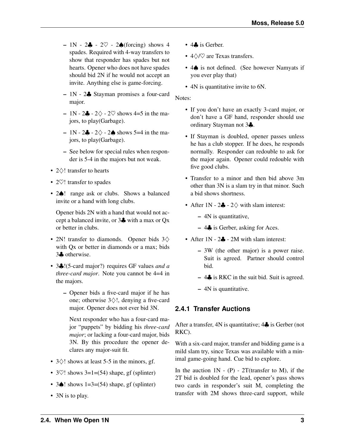- $-1N 2\clubsuit 2\heartsuit 2\spadesuit$  (forcing) shows 4 spades. Required with 4-way transfers to show that responder has spades but not hearts. Opener who does not have spades should bid 2N if he would not accept an invite. Anything else is game-forcing.
- 1N 2♣ Stayman promises a four-card major.
- $-1N 2\clubsuit 2\diamondsuit 2\heartsuit$  shows 4=5 in the majors, to play(Garbage).
- 1N 2♣ 2 $\diamond$  2♠ shows 5=4 in the majors, to play(Garbage).
- See below for special rules when responder is 5-4 in the majors but not weak.
- 2♢! transfer to hearts
- 2 $\heartsuit$ ! transfer to spades
- 2 $\spadesuit$ ! range ask or clubs. Shows a balanced invite or a hand with long clubs.

Opener bids 2N with a hand that would not accept a balanced invite, or 3♣ with a max or Qx or better in clubs.

- 2N! transfer to diamonds. Opener bids 3♢ with Ox or better in diamonds or a max; bids 3♣ otherwise.
- 3♣!(5-card major?) requires GF values *and a three-card major*. Note you cannot be 4=4 in the majors.
	- Opener bids a five-card major if he has one; otherwise 3♢!, denying a five-card major. Opener does not ever bid 3N.

Next responder who has a four-card major "puppets" by bidding his *three-card major*; or lacking a four-card major, bids 3N. By this procedure the opener declares any major-suit fit.

- $3\Diamond!$  shows at least 5-5 in the minors, gf.
- $3\degree$ ! shows  $3=1=(54)$  shape, gf (splinter)
- $3\spadesuit$ ! shows  $1=3=(54)$  shape, gf (splinter)
- 3N is to play.
- 4♣ is Gerber.
- 4♢/♡ are Texas transfers.
- 4♠ is not defined. (See however Namyats if you ever play that)
- 4N is quantitative invite to 6N.

Notes:

- If you don't have an exactly 3-card major, or don't have a GF hand, responder should use ordinary Stayman not 3♣.
- If Stayman is doubled, opener passes unless he has a club stopper. If he does, he responds normally. Responder can redouble to ask for the major again. Opener could redouble with five good clubs.
- Transfer to a minor and then bid above 3m other than 3N is a slam try in that minor. Such a bid shows shortness.
- After  $1N 2$   $2\diamondsuit$  with slam interest:
	- 4N is quantitative,
	- $-4\clubsuit$  is Gerber, asking for Aces.
- After 1N 2. 2M with slam interest:
	- 3W (the other major) is a power raise. Suit is agreed. Partner should control bid.
	- $-4\clubsuit$  is RKC in the suit bid. Suit is agreed.
	- 4N is quantitative.

#### <span id="page-4-0"></span>**2.4.1 Transfer Auctions**

After a transfer, 4N is quantitative; 4♣ is Gerber (not RKC).

With a six-card major, transfer and bidding game is a mild slam try, since Texas was available with a minimal game-going hand. Cue bid to explore.

In the auction  $1N - (P) - 2T$  (transfer to M), if the 2T bid is doubled for the lead, opener's pass shows two cards in responder's suit M, completing the transfer with 2M shows three-card support, while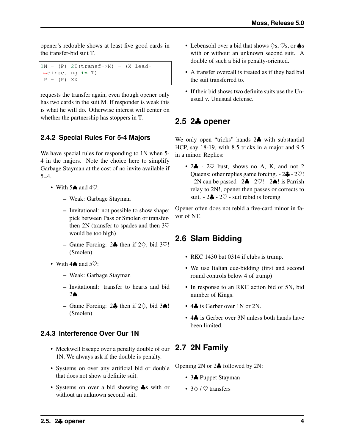opener's redouble shows at least five good cards in the transfer-bid suit T.

 $1N - (P)$  2T(transf->M) - (X lead-˓<sup>→</sup>directing **in** T)  $P - (P)$  XX

requests the transfer again, even though opener only has two cards in the suit M. If responder is weak this is what he will do. Otherwise interest will center on whether the partnership has stoppers in T.

#### <span id="page-5-0"></span>**2.4.2 Special Rules For 5-4 Majors**

We have special rules for responding to 1N when 5- 4 in the majors. Note the choice here to simplify Garbage Stayman at the cost of no invite available if  $5=4.$ 

- With  $5\spadesuit$  and  $4\heartsuit$ :
	- Weak: Garbage Stayman
	- Invitational: not possible to show shape; pick between Pass or Smolen or transferthen-2N (transfer to spades and then  $3\heartsuit$ would be too high)
	- Game Forcing: 2♣ then if 2♢, bid 3♡! (Smolen)
- With  $4\spadesuit$  and  $5\heartsuit$ :
	- Weak: Garbage Stayman
	- Invitational: transfer to hearts and bid 2♠.
	- Game Forcing: 2♣ then if  $2\diamondsuit$ , bid 3♠! (Smolen)

#### <span id="page-5-1"></span>**2.4.3 Interference Over Our 1N**

- Meckwell Escape over a penalty double of our **2.7 2N Family** 1N. We always ask if the double is penalty.
- Systems on over any artificial bid or double that does not show a definite suit.
- Systems on over a bid showing  $\clubsuit$ s with or without an unknown second suit.
- Lebensohl over a bid that shows  $\Diamond$ s,  $\heartsuit$ s, or  $\spadesuit$ s with or without an unknown second suit. A double of such a bid is penalty-oriented.
- A transfer overcall is treated as if they had bid the suit transferred to.
- If their bid shows two definite suits use the Unusual v. Unusual defense.

#### <span id="page-5-2"></span>**2.5 2**♣ **opener**

We only open "tricks" hands 2♣ with substantial HCP, say 18-19, with 8.5 tricks in a major and 9.5 in a minor. Replies:

•  $2\clubsuit$  -  $2\heartsuit$  bust, shows no A, K, and not 2 Queens; other replies game forcing.  $-2\clubsuit -2\heartsuit!$  $- 2N$  can be passed  $- 2\clubsuit - 2\nabla! - 2\spadesuit!$  is Parrish relay to 2N!, opener then passes or corrects to suit.  $-2\clubsuit - 2\heartsuit$  - suit rebid is forcing

Opener often does not rebid a five-card minor in favor of NT.

# <span id="page-5-3"></span>**2.6 Slam Bidding**

- RKC 1430 but 0314 if clubs is trump.
- We use Italian cue-bidding (first and second round controls below 4 of trump)
- In response to an RKC action bid of 5N, bid number of Kings.
- 4. is Gerber over 1N or 2N.
- <span id="page-5-4"></span>• 4. is Gerber over 3N unless both hands have been limited.

Opening 2N or 2♣ followed by 2N:

- 3♣ Puppet Stayman
- $3\diamond/$  /  $\heartsuit$  transfers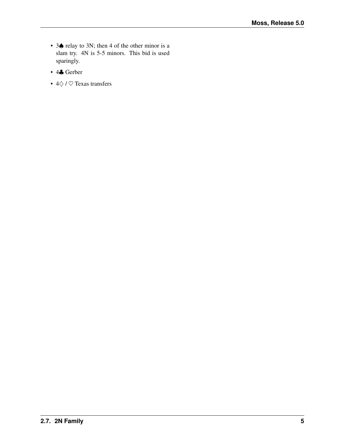- 3♠ relay to 3N; then 4 of the other minor is a slam try. 4N is 5-5 minors. This bid is used sparingly.
- 4♣ Gerber
- 4♢ / ♡ Texas transfers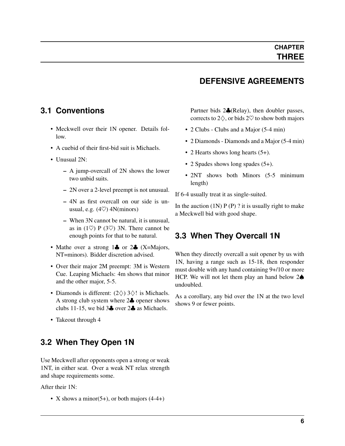### **DEFENSIVE AGREEMENTS**

#### <span id="page-7-0"></span>**3.1 Conventions**

- Meckwell over their 1N opener. Details follow.
- A cuebid of their first-bid suit is Michaels.
- Unusual 2N<sup>o</sup>
	- A jump-overcall of 2N shows the lower two unbid suits.
	- 2N over a 2-level preempt is not unusual.
	- 4N as first overcall on our side is unusual, e.g.  $(4\heartsuit)$  4N(minors)
	- When 3N cannot be natural, it is unusual, as in (1 $\heartsuit$ ) P (3 $\heartsuit$ ) 3N. There cannot be enough points for that to be natural.
- Mathe over a strong 1 $\clubsuit$  or 2 $\clubsuit$  (X=Majors, NT=minors). Bidder discretion advised.
- Over their major 2M preempt: 3M is Western Cue. Leaping Michaels: 4m shows that minor and the other major, 5-5.
- Diamonds is different:  $(2\diamondsuit)$  3 $\diamondsuit$ ! is Michaels. A strong club system where 2♣ opener shows clubs 11-15, we bid 3♣ over 2♣ as Michaels.
- Takeout through 4

#### <span id="page-7-1"></span>**3.2 When They Open 1N**

Use Meckwell after opponents open a strong or weak 1NT, in either seat. Over a weak NT relax strength and shape requirements some.

After their 1N:

• X shows a minor(5+), or both majors  $(4-4+)$ 

Partner bids 2♣(Relay), then doubler passes, corrects to  $2\diamondsuit$ , or bids  $2\heartsuit$  to show both majors

- 2 Clubs Clubs and a Major (5-4 min)
- 2 Diamonds Diamonds and a Major (5-4 min)
- 2 Hearts shows long hearts  $(5+)$ .
- 2 Spades shows long spades (5+).
- 2NT shows both Minors (5-5 minimum length)

If 6-4 usually treat it as single-suited.

In the auction  $(1N)$  P (P) ? it is usually right to make a Meckwell bid with good shape.

#### <span id="page-7-2"></span>**3.3 When They Overcall 1N**

When they directly overcall a suit opener by us with 1N, having a range such as 15-18, then responder must double with any hand containing 9+/10 or more HCP. We will not let them play an hand below 2♠ undoubled.

As a corollary, any bid over the 1N at the two level shows 9 or fewer points.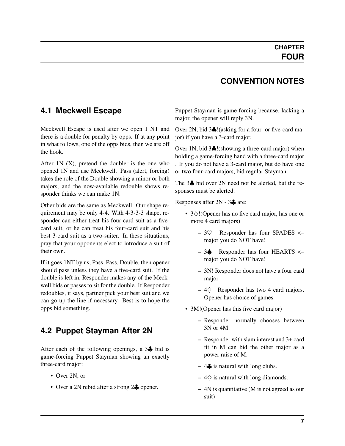#### <span id="page-8-2"></span><span id="page-8-0"></span>**4.1 Meckwell Escape**

Meckwell Escape is used after we open 1 NT and there is a double for penalty by opps. If at any point in what follows, one of the opps bids, then we are off the hook.

After  $1N(X)$ , pretend the doubler is the one who opened 1N and use Meckwell. Pass (alert, forcing) takes the role of the Double showing a minor or both majors, and the now-available redouble shows responder thinks we can make 1N.

Other bids are the same as Meckwell. Our shape requirement may be only 4-4. With 4-3-3-3 shape, responder can either treat his four-card suit as a fivecard suit, or he can treat his four-card suit and his best 3-card suit as a two-suiter. In these situations, pray that your opponents elect to introduce a suit of their own.

If it goes 1NT by us, Pass, Pass, Double, then opener should pass unless they have a five-card suit. If the double is left in, Responder makes any of the Meckwell bids or passes to sit for the double. If Responder redoubles, it says, partner pick your best suit and we can go up the line if necessary. Best is to hope the opps bid something.

# <span id="page-8-1"></span>**4.2 Puppet Stayman After 2N**

After each of the following openings, a 3<sup>4</sup> bid is game-forcing Puppet Stayman showing an exactly three-card major:

- Over 2N, or
- Over a 2N rebid after a strong 2. opener.

## **CONVENTION NOTES**

Puppet Stayman is game forcing because, lacking a major, the opener will reply 3N.

Over 2N, bid 3♣!(asking for a four- or five-card major) if you have a 3-card major.

Over 1N, bid 3♣!(showing a three-card major) when holding a game-forcing hand with a three-card major . If you do not have a 3-card major, but do have one or two four-card majors, bid regular Stayman.

The 3♣ bid over 2N need not be alerted, but the responses must be alerted.

Responses after 2N - 3♣ are:

- 3♢!(Opener has no five card major, has one or more 4 card majors)
	- 3♡! Responder has four SPADES <– major you do NOT have!
	- 3♠! Responder has four HEARTS <– major you do NOT have!
	- 3N! Responder does not have a four card major
	- $-4$  $\diamond$ ! Responder has two 4 card majors. Opener has choice of games.
- 3M! (Opener has this five card major)
	- Responder normally chooses between 3N or 4M.
	- Responder with slam interest and 3+ card fit in M can bid the other major as a power raise of M.
	- $-4$  ÷ is natural with long clubs.
	- $-4\diamondsuit$  is natural with long diamonds.
	- 4N is quantitative (M is not agreed as our suit)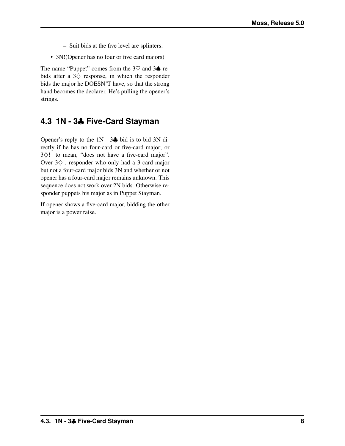- Suit bids at the five level are splinters.
- 3N!(Opener has no four or five card majors)

The name "Puppet" comes from the  $3\heartsuit$  and  $3\spadesuit$  rebids after a  $3\diamondsuit$  response, in which the responder bids the major he DOESN'T have, so that the strong hand becomes the declarer. He's pulling the opener's strings.

# <span id="page-9-0"></span>**4.3 1N - 3**♣ **Five-Card Stayman**

Opener's reply to the 1N - 3♣ bid is to bid 3N directly if he has no four-card or five-card major; or 3♢! to mean, "does not have a five-card major". Over 3♢!, responder who only had a 3-card major but not a four-card major bids 3N and whether or not opener has a four-card major remains unknown. This sequence does not work over 2N bids. Otherwise responder puppets his major as in Puppet Stayman.

If opener shows a five-card major, bidding the other major is a power raise.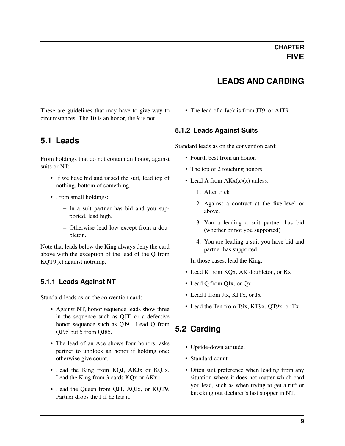# **LEADS AND CARDING**

<span id="page-10-0"></span>These are guidelines that may have to give way to circumstances. The 10 is an honor, the 9 is not.

#### <span id="page-10-1"></span>**5.1 Leads**

From holdings that do not contain an honor, against suits or NT:

- If we have bid and raised the suit, lead top of nothing, bottom of something.
- From small holdings:
	- In a suit partner has bid and you supported, lead high.
	- Otherwise lead low except from a doubleton.

Note that leads below the King always deny the card above with the exception of the lead of the Q from KQT9(x) against notrump.

#### <span id="page-10-2"></span>**5.1.1 Leads Against NT**

Standard leads as on the convention card:

- Against NT, honor sequence leads show three in the sequence such as QJT, or a defective honor sequence such as QJ9. Lead Q from QJ95 but 5 from QJ85.
- The lead of an Ace shows four honors, asks partner to unblock an honor if holding one; otherwise give count.
- Lead the King from KQJ, AKJx or KQJx. Lead the King from 3 cards KQx or AKx.
- Lead the Queen from QJT, AQJx, or KQT9. Partner drops the J if he has it.

• The lead of a Jack is from JT9, or AJT9.

#### <span id="page-10-3"></span>**5.1.2 Leads Against Suits**

Standard leads as on the convention card:

- Fourth best from an honor.
- The top of 2 touching honors
- Lead A from  $AKx(x)(x)$  unless:
	- 1. After trick 1
	- 2. Against a contract at the five-level or above.
	- 3. You a leading a suit partner has bid (whether or not you supported)
	- 4. You are leading a suit you have bid and partner has supported

In those cases, lead the King.

- Lead K from KQx, AK doubleton, or Kx
- Lead Q from QJx, or Qx
- Lead J from Jtx, KJTx, or Jx
- Lead the Ten from T9x, KT9x, QT9x, or Tx

# <span id="page-10-4"></span>**5.2 Carding**

- Upside-down attitude.
- Standard count.
- Often suit preference when leading from any situation where it does not matter which card you lead, such as when trying to get a ruff or knocking out declarer's last stopper in NT.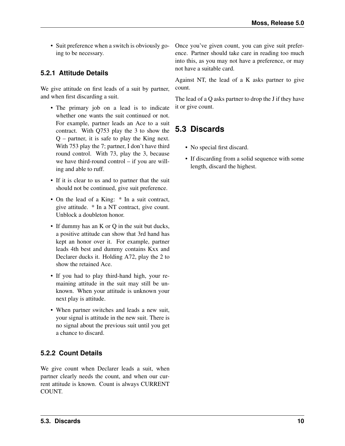• Suit preference when a switch is obviously going to be necessary.

#### <span id="page-11-0"></span>**5.2.1 Attitude Details**

We give attitude on first leads of a suit by partner, and when first discarding a suit.

- The primary job on a lead is to indicate whether one wants the suit continued or not. For example, partner leads an Ace to a suit contract. With Q753 play the 3 to show the Q – partner, it is safe to play the King next. With 753 play the 7; partner, I don't have third round control. With 73, play the 3, because we have third-round control – if you are willing and able to ruff.
- If it is clear to us and to partner that the suit should not be continued, give suit preference.
- On the lead of a King: \* In a suit contract, give attitude. \* In a NT contract, give count. Unblock a doubleton honor.
- If dummy has an K or Q in the suit but ducks, a positive attitude can show that 3rd hand has kept an honor over it. For example, partner leads 4th best and dummy contains Kxx and Declarer ducks it. Holding A72, play the 2 to show the retained Ace.
- If you had to play third-hand high, your remaining attitude in the suit may still be unknown. When your attitude is unknown your next play is attitude.
- When partner switches and leads a new suit, your signal is attitude in the new suit. There is no signal about the previous suit until you get a chance to discard.

#### <span id="page-11-1"></span>**5.2.2 Count Details**

We give count when Declarer leads a suit, when partner clearly needs the count, and when our current attitude is known. Count is always CURRENT COUNT.

Once you've given count, you can give suit preference. Partner should take care in reading too much into this, as you may not have a preference, or may not have a suitable card.

Against NT, the lead of a K asks partner to give count.

The lead of a Q asks partner to drop the J if they have it or give count.

# <span id="page-11-2"></span>**5.3 Discards**

- No special first discard.
- If discarding from a solid sequence with some length, discard the highest.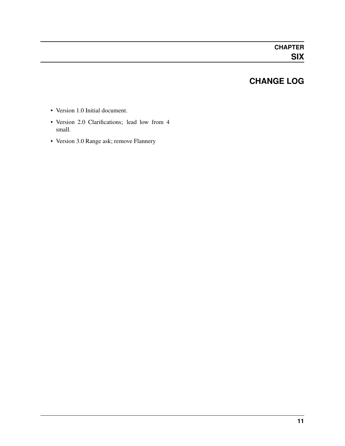# **CHANGE LOG**

- <span id="page-12-0"></span>• Version 1.0 Initial document.
- Version 2.0 Clarifications; lead low from 4 small.
- Version 3.0 Range ask; remove Flannery